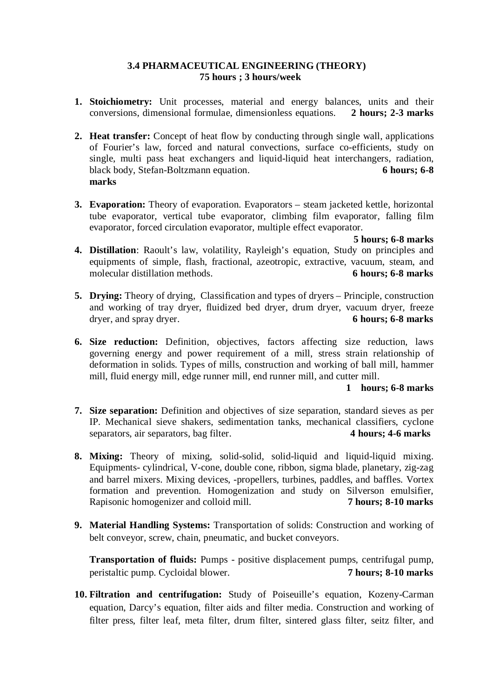## **3.4 PHARMACEUTICAL ENGINEERING (THEORY) 75 hours ; 3 hours/week**

- **1. Stoichiometry:** Unit processes, material and energy balances, units and their conversions, dimensional formulae, dimensionless equations. **2 hours; 2-3 marks**
- **2. Heat transfer:** Concept of heat flow by conducting through single wall, applications of Fourier's law, forced and natural convections, surface co-efficients, study on single, multi pass heat exchangers and liquid-liquid heat interchangers, radiation, black body, Stefan-Boltzmann equation. **6 hours; 6-8 marks**
- **3. Evaporation:** Theory of evaporation. Evaporators steam jacketed kettle, horizontal tube evaporator, vertical tube evaporator, climbing film evaporator, falling film evaporator, forced circulation evaporator, multiple effect evaporator.

**5 hours; 6-8 marks**

- **4. Distillation**: Raoult's law, volatility, Rayleigh's equation, Study on principles and equipments of simple, flash, fractional, azeotropic, extractive, vacuum, steam, and molecular distillation methods. **6 hours; 6-8 marks**
- **5. Drying:** Theory of drying, Classification and types of dryers Principle, construction and working of tray dryer, fluidized bed dryer, drum dryer, vacuum dryer, freeze<br>dryer, and spray dryer.<br>6 hours: 6-8 marks dryer, and spray dryer.
- **6. Size reduction:** Definition, objectives, factors affecting size reduction, laws governing energy and power requirement of a mill, stress strain relationship of deformation in solids. Types of mills, construction and working of ball mill, hammer mill, fluid energy mill, edge runner mill, end runner mill, and cutter mill.

# **1 hours; 6-8 marks**

- **7. Size separation:** Definition and objectives of size separation, standard sieves as per IP. Mechanical sieve shakers, sedimentation tanks, mechanical classifiers, cyclone separators, air separators, bag filter.
- **8. Mixing:** Theory of mixing, solid-solid, solid-liquid and liquid-liquid mixing. Equipments- cylindrical, V-cone, double cone, ribbon, sigma blade, planetary, zig-zag and barrel mixers. Mixing devices, -propellers, turbines, paddles, and baffles. Vortex formation and prevention. Homogenization and study on Silverson emulsifier, Rapisonic homogenizer and colloid mill. **7 hours; 8-10 marks**
- **9. Material Handling Systems:** Transportation of solids: Construction and working of belt conveyor, screw, chain, pneumatic, and bucket conveyors.

**Transportation of fluids:** Pumps - positive displacement pumps, centrifugal pump, peristaltic pump. Cycloidal blower. **7 hours; 8-10 marks**

**10. Filtration and centrifugation:** Study of Poiseuille's equation, Kozeny-Carman equation, Darcy's equation, filter aids and filter media. Construction and working of filter press, filter leaf, meta filter, drum filter, sintered glass filter, seitz filter, and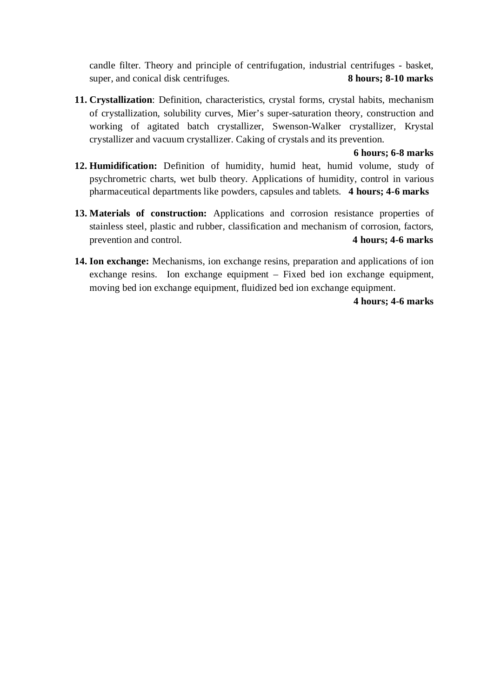candle filter. Theory and principle of centrifugation, industrial centrifuges - basket, super, and conical disk centrifuges. **8 hours; 8-10 marks**

**11. Crystallization**: Definition, characteristics, crystal forms, crystal habits, mechanism of crystallization, solubility curves, Mier's super-saturation theory, construction and working of agitated batch crystallizer, Swenson-Walker crystallizer, Krystal crystallizer and vacuum crystallizer. Caking of crystals and its prevention.

**6 hours; 6-8 marks**

- **12. Humidification:** Definition of humidity, humid heat, humid volume, study of psychrometric charts, wet bulb theory. Applications of humidity, control in various pharmaceutical departments like powders, capsules and tablets. **4 hours; 4-6 marks**
- **13. Materials of construction:** Applications and corrosion resistance properties of stainless steel, plastic and rubber, classification and mechanism of corrosion, factors, prevention and control. **4 hours; 4-6 marks**
- **14. Ion exchange:** Mechanisms, ion exchange resins, preparation and applications of ion exchange resins. Ion exchange equipment – Fixed bed ion exchange equipment, moving bed ion exchange equipment, fluidized bed ion exchange equipment.

**4 hours; 4-6 marks**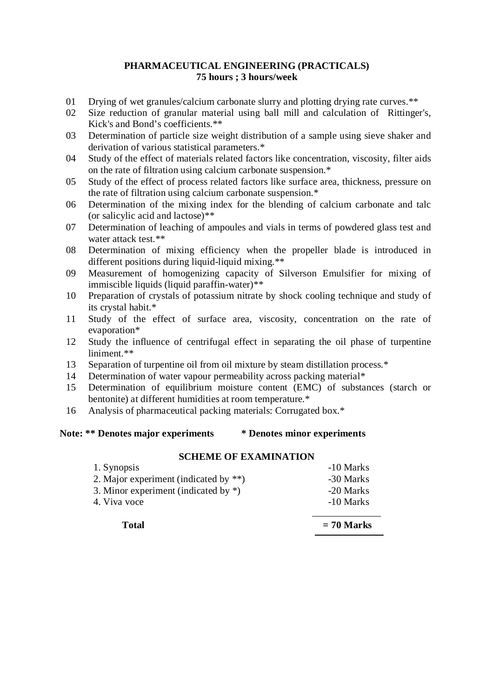## **PHARMACEUTICAL ENGINEERING (PRACTICALS) 75 hours ; 3 hours/week**

- 01 Drying of wet granules/calcium carbonate slurry and plotting drying rate curves.\*\*
- 02 Size reduction of granular material using ball mill and calculation of Rittinger's, Kick's and Bond's coefficients.\*\*
- 03 Determination of particle size weight distribution of a sample using sieve shaker and derivation of various statistical parameters.\*
- 04 Study of the effect of materials related factors like concentration, viscosity, filter aids on the rate of filtration using calcium carbonate suspension.\*
- 05 Study of the effect of process related factors like surface area, thickness, pressure on the rate of filtration using calcium carbonate suspension.\*
- 06 Determination of the mixing index for the blending of calcium carbonate and talc (or salicylic acid and lactose)\*\*
- 07 Determination of leaching of ampoules and vials in terms of powdered glass test and water attack test.\*\*
- 08 Determination of mixing efficiency when the propeller blade is introduced in different positions during liquid-liquid mixing.\*\*
- 09 Measurement of homogenizing capacity of Silverson Emulsifier for mixing of immiscible liquids (liquid paraffin-water)\*\*
- 10 Preparation of crystals of potassium nitrate by shock cooling technique and study of its crystal habit.\*
- 11 Study of the effect of surface area, viscosity, concentration on the rate of evaporation\*
- 12 Study the influence of centrifugal effect in separating the oil phase of turpentine liniment.\*\*
- 13 Separation of turpentine oil from oil mixture by steam distillation process.\*
- 14 Determination of water vapour permeability across packing material\*
- 15 Determination of equilibrium moisture content (EMC) of substances (starch or bentonite) at different humidities at room temperature.\*
- 16 Analysis of pharmaceutical packing materials: Corrugated box.\*

# **Note: \*\* Denotes major experiments \* Denotes minor experiments**

#### **SCHEME OF EXAMINATION**

| 1. Synopsis                              | -10 Marks |
|------------------------------------------|-----------|
| 2. Major experiment (indicated by $**$ ) | -30 Marks |
| 3. Minor experiment (indicated by $*$ )  | -20 Marks |
| 4. Viva voce                             | -10 Marks |
|                                          |           |

# **Total = 70 Marks**